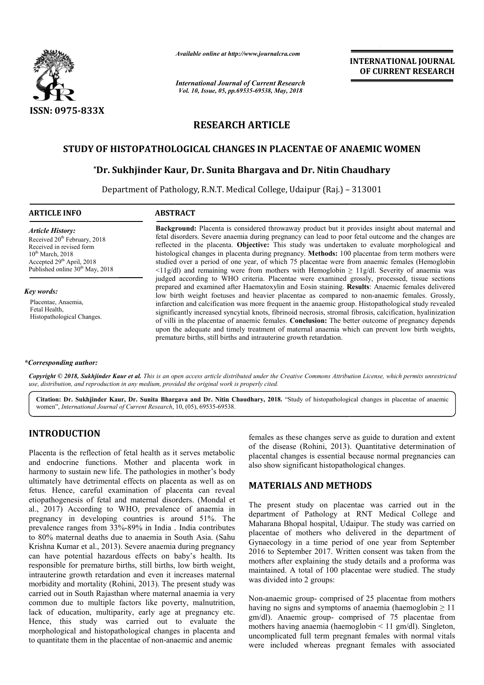

*Available online at http://www.journalcra.com*

*International Journal of Current Research Vol. 10, Issue, 05, pp.69535-69538, May, 2018*

**INTERNATIONAL JOURNAL OF CURRENT RESEARCH**

# **RESEARCH ARTICLE**

## **STUDY OF HISTOPATHOLOGICAL CHANGES IN PLACENTAE OF ANAEMIC WOMEN**

# OF HISTOPATHOLOGICAL CHANGES IN PLACENTAE OF ANAEMIC **W**<br>\*Dr. Sukhjinder Kaur, Dr. Sunita Bhargava and Dr. Nitin Chaudhary

Department of Pathology, R.N.T. Medical College, Udaipur (Raj.) – 313001

## **ARTICLE INFO ABSTRACT**

**Background:** Placenta is considered throwaway product but it provides insight about maternal and fetal disorders. Severe anaemia during pregnancy can lead to poor fetal outcome and the changes are fetal disorders. Severe anaemia during pregnancy can lead to poor fetal outcome and the changes are reflected in the placenta. **Objective:** This study was undertaken to evaluate morphological and histological changes in placenta during pregnancy. **Methods:** 100 placentae from term mothers were studied over a period of one year, of which 75 placentae were from anaemic females (Hemoglobin  $\langle 11g/dl \rangle$  and remaining were from mothers with Hemoglobin  $\geq 11g/dl$ . Severity of anaemia was judged according to WHO criteria. Placentae were examined grossly, processed, tissue sections prepared and examined after Haematoxylin and Eosin staining. **Results** low birth weight foetuses and heavier placentae as compared to non-anaemic females. Grossly, infarction and calcification was more frequent in the anaemic group. Histopathological study revealed infarction and calcification was more frequent in the anaemic group. Histopathological study revealed<br>significantly increased syncytial knots, fibrinoid necrosis, stromal fibrosis, calcification, hyalinization of villi in the placentae of anaemic females. **Conclusion:** The better outcome of pregnancy depends of villi in the placentae of anaemic females. **Conclusion:** The better outcome of pregnancy depends upon the adequate and timely treatment of maternal anaemia which can prevent low birth weights, premature births, still births and intrauterine growth retardation. histological changes in placenta during pregnancy. **Methods:** 100 placentae from term mothers were studied over a period of one year, of which 75 placentae were from anaemic females (Hemoglobin  $\leq 11g/dl$ ) and remaining included

#### *Article History:* Received  $20<sup>th</sup>$  February, 2018 Received in revised form  $10^{th}$  March, 2018 Accepted 29<sup>th</sup> April, 2018 Published online 30<sup>th</sup> May, 2018

*Key words:*

Placentae, Anaemia, Fetal Health, Histopathological Changes.

#### *\*Corresponding author:*

Copyright © 2018, Sukhjinder Kaur et al. This is an open access article distributed under the Creative Commons Attribution License, which permits unrestrictea *use, distribution, and reproduction in any medium, provided the original work is properly cited.*

Citation: Dr. Sukhjinder Kaur, Dr. Sunita Bhargava and Dr. Nitin Chaudhary, 2018. "Study of histopathological changes in placentae of anaemic women", *International Journal of Current Research*, 10, (05), 69535-69538.

# **INTRODUCTION**

Placenta is the reflection of fetal health as it serves metabolic and endocrine functions. Mother and placenta work in harmony to sustain new life. The pathologies in mother's body ultimately have detrimental effects on placenta as well as on fetus. Hence, careful examination of placenta can reveal etiopathogenesis of fetal and maternal disorders. ( (Mondal et al., 2017) According to WHO, prevalence of anaemia in pregnancy in developing countries is around 51%. The prevalence ranges from 33%-89% in India . India contributes to 80% maternal deaths due to anaemia in South Asia. ( Krishna Kumar et al., 2013). Severe anaemia during pregnancy can have potential hazardous effects on baby's health. Its responsible for premature births, still births, low birth weight, intrauterine growth retardation and even it increases maternal morbidity and mortality (Rohini, 2013). The present study was carried out in South Rajasthan where maternal anaemia ia very common due to multiple factors like poverty, malnutrition, lack of education, multiparity, early age at pregnancy etc. Hence, this study was carried out to evaluate the morphological and histopathological changes in placenta and to quantitate them in the placentae of non-anaemic and anemic 7) According to WHO, prevalence of anaemia in<br>y in developing countries is around 51%. The<br>ce ranges from 33%-89% in India . India contributes<br>maternal deaths due to anaemia in South Asia. (Sahu females as these changes serve as guide to duration and extent<br>
or the disease (Rohini, 2013). Quantitative determination of<br>
also show significant histopathological changes.<br>
and placenta as well as on<br>
bathologies in mo

females as these changes serve as guide to duration and extent of the disease (Rohini, 2013). Quantitative determination of placental changes is essential because normal pregnancies can placental changes is essential because normal palso show significant histopathological changes.

# **MATERIALS AND METHODS METHODS**

The present study on placentae was carried out in the department of Pathology at RNT Medical College and Maharana Bhopal hospital, Udaipur. The study was carried on placentae of mothers who delivered in the department of Gynaecology in a time period of one year from September 2016 to September 2017. Written consent was taken from the mothers after explaining the study details and a proforma was maintained. A total of 100 placentae were studied. The study was divided into 2 groups: The present study on placentae was carried out in the department of Pathology at RNT Medical College and Maharana Bhopal hospital, Udaipur. The study was carried on placentae of mothers who delivered in the department of G

Non-anaemic group- comprised of 25 placentae from mothers Non-anaemic group- comprised of 25 placentae from mothers having no signs and symptoms of anaemia (haemoglobin  $\geq 11$ ) gm/dl). Anaemic group- comprised of 75 placentae from gm/dl). Anaemic group- comprised of 75 placentae from mothers having anaemia (haemoglobin < 11 gm/dl). Singleton, uncomplicated full term pregnant females with normal vitals were included whereas pregnant females with associated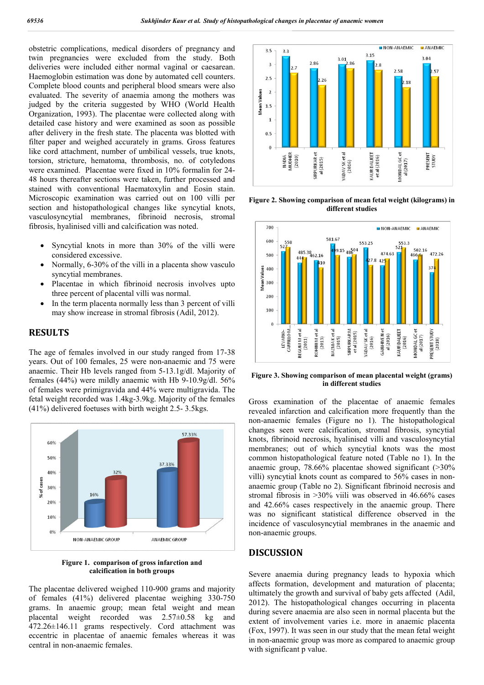obstetric complications, medical disorders of pregnancy and twin pregnancies were excluded from the study. Both deliveries were included either normal vaginal or caesarean. Haemoglobin estimation was done by automated cell counters. Complete blood counts and peripheral blood smears were also evaluated. The severity of anaemia among the mothers was judged by the criteria suggested by WHO (World Health Organization, 1993). The placentae were collected along with detailed case history and were examined as soon as possible after delivery in the fresh state. The placenta was blotted with filter paper and weighed accurately in grams. Gross features like cord attachment, number of umbilical vessels, true knots, torsion, stricture, hematoma, thrombosis, no. of cotyledons were examined. Placentae were fixed in 10% formalin for 24- 48 hours thereafter sections were taken, further processed and stained with conventional Haematoxylin and Eosin stain. Microscopic examination was carried out on 100 villi per section and histopathological changes like syncytial knots, vasculosyncytial membranes, fibrinoid necrosis, stromal fibrosis, hyalinised villi and calcification was noted.

- Syncytial knots in more than 30% of the villi were considered excessive.
- Normally, 6-30% of the villi in a placenta show vasculo syncytial membranes.
- Placentae in which fibrinoid necrosis involves upto three percent of placental villi was normal.
- In the term placenta normally less than 3 percent of villi may show increase in stromal fibrosis (Adil, 2012).

## **RESULTS**

The age of females involved in our study ranged from 17-38 years. Out of 100 females, 25 were non-anaemic and 75 were anaemic. Their Hb levels ranged from 5-13.1g/dl. Majority of females (44%) were mildly anaemic with Hb 9-10.9g/dl. 56% of females were primigravida and 44% were multigravida. The fetal weight recorded was 1.4kg-3.9kg. Majority of the females (41%) delivered foetuses with birth weight 2.5- 3.5kgs.



**Figure 1. comparison of gross infarction and calcification in both groups**

The placentae delivered weighed 110-900 grams and majority of females (41%) delivered placentae weighing 330-750 grams. In anaemic group; mean fetal weight and mean placental weight recorded was 2.57±0.58 kg and 472.26±146.11 grams respectively. Cord attachment was eccentric in placentae of anaemic females whereas it was central in non-anaemic females.



**Figure 2. Showing comparison of mean fetal weight (kilograms) in different studies**



**Figure 3. Showing comparison of mean placental weight (grams) in different studies**

Gross examination of the placentae of anaemic females revealed infarction and calcification more frequently than the non-anaemic females (Figure no 1). The histopathological changes seen were calcification, stromal fibrosis, syncytial knots, fibrinoid necrosis, hyalinised villi and vasculosyncytial membranes; out of which syncytial knots was the most common histopathological feature noted (Table no 1). In the anaemic group, 78.66% placentae showed significant (>30% villi) syncytial knots count as compared to 56% cases in nonanaemic group (Table no 2). Significant fibrinoid necrosis and stromal fibrosis in >30% viili was observed in 46.66% cases and 42.66% cases respectively in the anaemic group. There was no significant statistical difference observed in the incidence of vasculosyncytial membranes in the anaemic and non-anaemic groups.

## **DISCUSSION**

Severe anaemia during pregnancy leads to hypoxia which affects formation, development and maturation of placenta; ultimately the growth and survival of baby gets affected (Adil, 2012). The histopathological changes occurring in placenta during severe anaemia are also seen in normal placenta but the extent of involvement varies i.e. more in anaemic placenta (Fox, 1997). It was seen in our study that the mean fetal weight in non-anaemic group was more as compared to anaemic group with significant p value.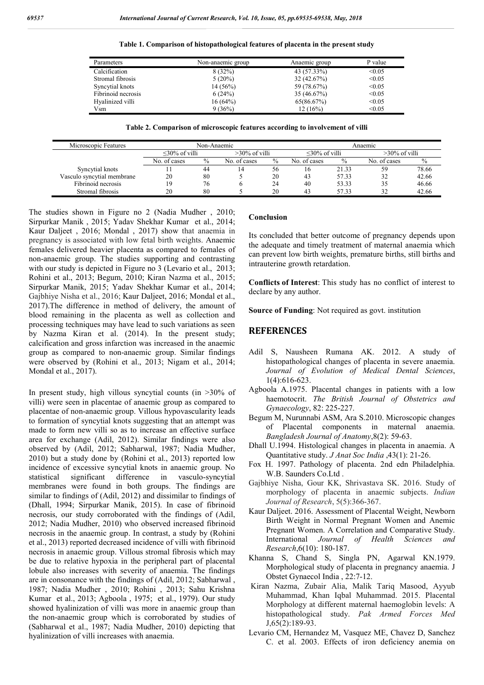| Table 1. Comparison of histopathological features of placenta in the present study |  |  |  |
|------------------------------------------------------------------------------------|--|--|--|
|------------------------------------------------------------------------------------|--|--|--|

| Parameters         | Non-anaemic group | Anaemic group | P value |
|--------------------|-------------------|---------------|---------|
| Calcification      | 8(32%)            | 43 (57.33%)   | < 0.05  |
| Stromal fibrosis   | $5(20\%)$         | 32(42.67%)    | < 0.05  |
| Syncytial knots    | $14(56\%)$        | 59 (78.67%)   | < 0.05  |
| Fibrinoid necrosis | 6(24%)            | 35(46.67%)    | < 0.05  |
| Hyalinized villi   | 16(64%)           | 65(86.67%)    | < 0.05  |
| Vsm                | 9(36%)            | 12(16%)       | < 0.05  |

**Table 2. Comparison of microscopic features according to involvement of villi**

| Microscopic Features       | Non-Anaemic         |      |                  | Anaemic |                     |       |                  |       |
|----------------------------|---------------------|------|------------------|---------|---------------------|-------|------------------|-------|
|                            | $\leq$ 30% of villi |      | $>30\%$ of villi |         | $\leq$ 30% of villi |       | $>30\%$ of villi |       |
|                            | No. of cases        | $\%$ | No. of cases     | $\%$    | No. of cases        | $\%$  | No. of cases     | $\%$  |
| Syncytial knots            |                     | 44   |                  | 56      | 16                  | 21.33 | 59               | 78.66 |
| Vasculo syncytial membrane | 20                  | 80   |                  | 20      | 43                  | 57.33 | 32               | 42.66 |
| Fibrinoid necrosis         | 9                   | 76   |                  | 24      | 40                  | 53.33 | 35               | 46.66 |
| Stromal fibrosis           | 20                  | 80   |                  | 20      | 43                  | 57.33 | 32               | 42.66 |

The studies shown in Figure no 2 (Nadia Mudher , 2010; Sirpurkar Manik , 2015; Yadav Shekhar Kumar et al., 2014; Kaur Daljeet , 2016; Mondal , 2017) show that anaemia in pregnancy is associated with low fetal birth weights. Anaemic females delivered heavier placenta as compared to females of non-anaemic group. The studies supporting and contrasting with our study is depicted in Figure no 3 (Levario et al., 2013; Rohini et al., 2013; Begum, 2010; Kiran Nazma et al., 2015; Sirpurkar Manik, 2015; Yadav Shekhar Kumar et al., 2014; Gajbhiye Nisha et al., 2016; Kaur Daljeet, 2016; Mondal et al., 2017).The difference in method of delivery, the amount of blood remaining in the placenta as well as collection and processing techniques may have lead to such variations as seen by Nazma Kiran et al. (2014). In the present study; calcification and gross infarction was increased in the anaemic group as compared to non-anaemic group. Similar findings were observed by (Rohini et al., 2013; Nigam et al., 2014; Mondal et al., 2017).

In present study, high villous syncytial counts (in  $>30\%$  of villi) were seen in placentae of anaemic group as compared to placentae of non-anaemic group. Villous hypovascularity leads to formation of syncytial knots suggesting that an attempt was made to form new villi so as to increase an effective surface area for exchange (Adil, 2012). Similar findings were also observed by (Adil, 2012; Sabharwal, 1987; Nadia Mudher, 2010) but a study done by (Rohini et al., 2013) reported low incidence of excessive syncytial knots in anaemic group. No statistical significant difference in vasculo-syncytial membranes were found in both groups. The findings are similar to findings of (Adil, 2012) and dissimilar to findings of (Dhall, 1994; Sirpurkar Manik, 2015). In case of fibrinoid necrosis, our study corroborated with the findings of (Adil, 2012; Nadia Mudher, 2010) who observed increased fibrinoid necrosis in the anaemic group. In contrast, a study by (Rohini et al., 2013) reported decreased incidence of villi with fibrinoid necrosis in anaemic group. Villous stromal fibrosis which may be due to relative hypoxia in the peripheral part of placental lobule also increases with severity of anaemia. The findings are in consonance with the findings of (Adil, 2012; Sabharwal , 1987; Nadia Mudher , 2010; Rohini , 2013; Sahu Krishna Kumar et al., 2013; Agboola , 1975; et al., 1979). Our study showed hyalinization of villi was more in anaemic group than the non-anaemic group which is corroborated by studies of (Sabharwal et al., 1987; Nadia Mudher, 2010) depicting that hyalinization of villi increases with anaemia.

#### **Conclusion**

Its concluded that better outcome of pregnancy depends upon the adequate and timely treatment of maternal anaemia which can prevent low birth weights, premature births, still births and intrauterine growth retardation.

**Conflicts of Interest**: This study has no conflict of interest to declare by any author.

**Source of Funding:** Not required as govt. institution

### **REFERENCES**

- Adil S, Nausheen Rumana AK. 2012. A study of histopathological changes of placenta in severe anaemia. *Journal of Evolution of Medical Dental Sciences*, 1(4):616-623.
- Agboola A.1975. Placental changes in patients with a low haemotocrit. *The British Journal of Obstetrics and Gynaecology*, 82: 225-227.
- Begum M, Nurunnabi ASM, Ara S.2010. Microscopic changes of Placental components in maternal anaemia. *Bangladesh Journal of Anatomy*,8(2): 59-63.
- Dhall U.1994. Histological changes in placenta in anaemia. A Quantitative study. *J Anat Soc India* ,43(1): 21-26.
- Fox H. 1997. Pathology of placenta. 2nd edn Philadelphia. W.B. Saunders Co.Ltd .
- Gajbhiye Nisha, Gour KK, Shrivastava SK. 2016. Study of morphology of placenta in anaemic subjects. *Indian Journal of Research*, 5(5):366-367.
- Kaur Daljeet. 2016. Assessment of Placental Weight, Newborn Birth Weight in Normal Pregnant Women and Anemic Pregnant Women. A Correlation and Comparative Study. International *Journal of Health Sciences and Research*,6(10): 180-187.
- Khanna S, Chand S, Singla PN, Agarwal KN.1979. Morphological study of placenta in pregnancy anaemia. J Obstet Gynaecol India , 22:7-12.
- Kiran Nazma, Zubair Alia, Malik Tariq Masood, Ayyub Muhammad, Khan Iqbal Muhammad. 2015. Placental Morphology at different maternal haemoglobin levels: A histopathological study. *Pak Armed Forces Med* J,65(2):189-93.
- Levario CM, Hernandez M, Vasquez ME, Chavez D, Sanchez C. et al. 2003. Effects of iron deficiency anemia on